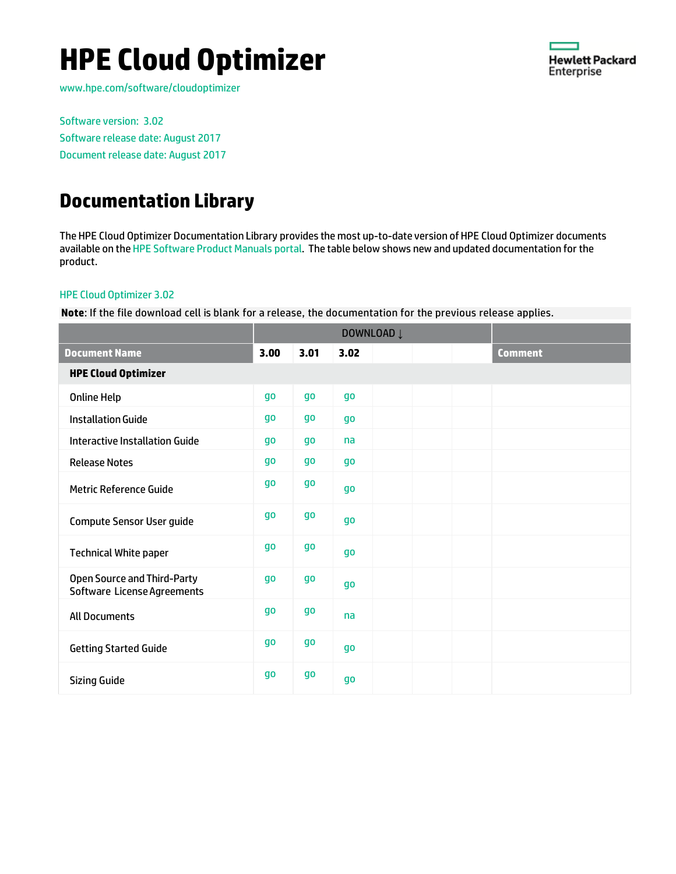# **HPE Cloud Optimizer**



[www.hpe.com/software/cloudoptimizer](http://www.hpe.com/software/cloudoptimizer)

Software version: 3.02 Software release date: August 2017 Document release date: August 2017

### **Documentation Library**

The HPE Cloud Optimizer Documentation Library provides the most up-to-date version of HPE Cloud Optimizer documents available on the HPE [Software Product Manuals portal.](https://softwaresupport.hp.com/) The table below shows new and updated documentation for the product.

#### HPE Cloud Optimizer 3.02

**Note**: If the file download cell is blank for a release, the documentation for the previous release applies.

|                                                            | DOWNLOAD Į |           |           |  |  |  |                |
|------------------------------------------------------------|------------|-----------|-----------|--|--|--|----------------|
| <b>Document Name</b>                                       | 3.00       | 3.01      | 3.02      |  |  |  | <b>Comment</b> |
| <b>HPE Cloud Optimizer</b>                                 |            |           |           |  |  |  |                |
| <b>Online Help</b>                                         | go         | <b>go</b> | <b>go</b> |  |  |  |                |
| <b>Installation Guide</b>                                  | go         | go        | <b>go</b> |  |  |  |                |
| <b>Interactive Installation Guide</b>                      | qo         | go        | na        |  |  |  |                |
| <b>Release Notes</b>                                       | go         | go        | <b>go</b> |  |  |  |                |
| <b>Metric Reference Guide</b>                              | go         | go        | <b>go</b> |  |  |  |                |
| <b>Compute Sensor User guide</b>                           | go         | go        | <b>go</b> |  |  |  |                |
| <b>Technical White paper</b>                               | go         | $g_0$     | <b>go</b> |  |  |  |                |
| Open Source and Third-Party<br>Software License Agreements | <b>go</b>  | <b>go</b> | <b>go</b> |  |  |  |                |
| <b>All Documents</b>                                       | go         | go        | na        |  |  |  |                |
| <b>Getting Started Guide</b>                               | go         | <b>go</b> | <b>go</b> |  |  |  |                |
| <b>Sizing Guide</b>                                        | go         | go        | <b>go</b> |  |  |  |                |